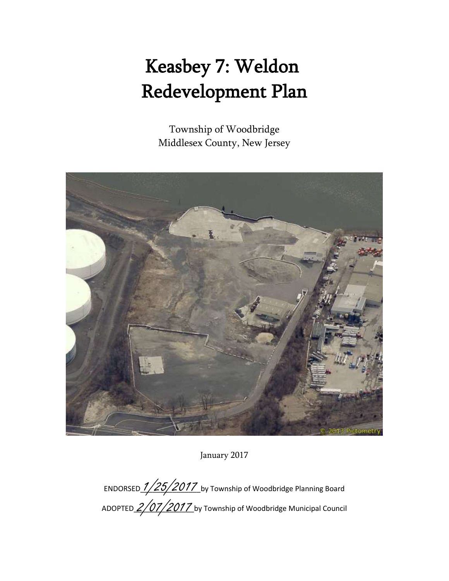# Keasbey 7: Weldon Redevelopment Plan

Township of Woodbridge Middlesex County, New Jersey



January 2017

ENDORSED  $\frac{1}{25}/2017$  by Township of Woodbridge Planning Board ADOPTED 2/07/2017 by Township of Woodbridge Municipal Council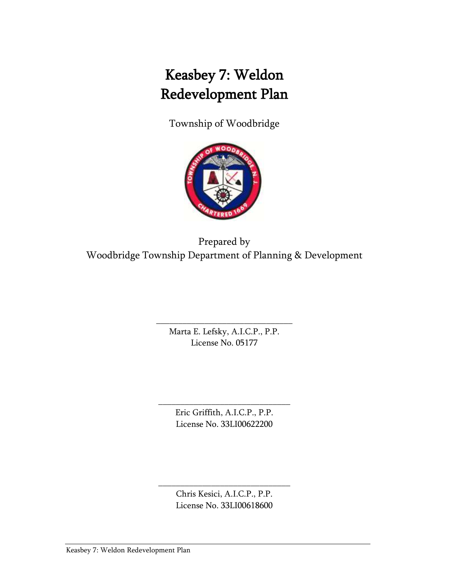# Keasbey 7: Weldon Redevelopment Plan

Township of Woodbridge



Prepared by Woodbridge Township Department of Planning & Development

> \_\_\_\_\_\_\_\_\_\_\_\_\_\_\_\_\_\_\_\_\_\_\_\_\_\_\_\_\_\_\_ Marta E. Lefsky, A.I.C.P., P.P. License No. 05177

> > Eric Griffith, A.I.C.P., P.P. License No. 33LI00622200

\_\_\_\_\_\_\_\_\_\_\_\_\_\_\_\_\_\_\_\_\_\_\_\_\_\_\_\_\_\_

Chris Kesici, A.I.C.P., P.P. License No. 33LI00618600

\_\_\_\_\_\_\_\_\_\_\_\_\_\_\_\_\_\_\_\_\_\_\_\_\_\_\_\_\_\_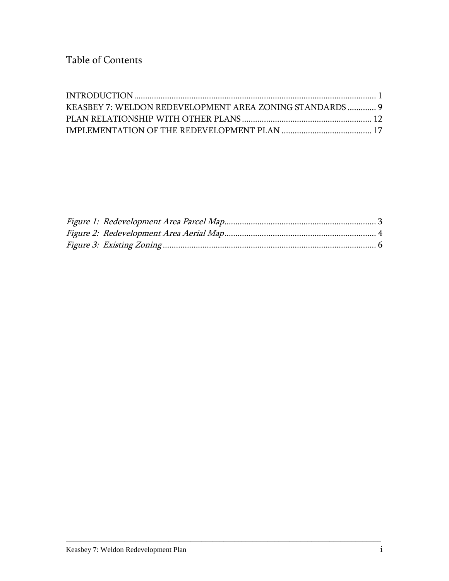| KEASBEY 7: WELDON REDEVELOPMENT AREA ZONING STANDARDS 9 |  |
|---------------------------------------------------------|--|
|                                                         |  |
|                                                         |  |

\_\_\_\_\_\_\_\_\_\_\_\_\_\_\_\_\_\_\_\_\_\_\_\_\_\_\_\_\_\_\_\_\_\_\_\_\_\_\_\_\_\_\_\_\_\_\_\_\_\_\_\_\_\_\_\_\_\_\_\_\_\_\_\_\_\_\_\_\_\_\_\_\_\_\_\_\_\_\_\_\_\_\_\_\_\_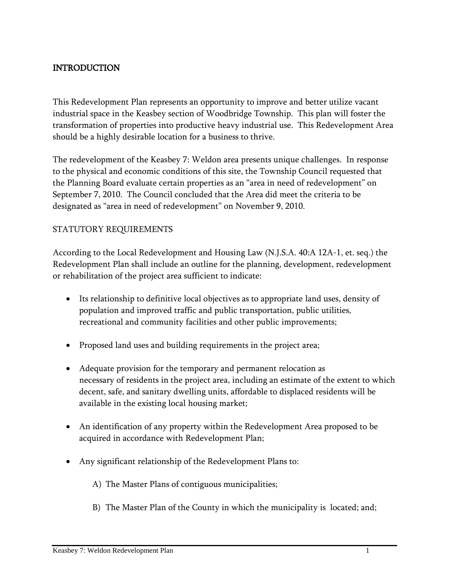# <span id="page-3-0"></span>INTRODUCTION

This Redevelopment Plan represents an opportunity to improve and better utilize vacant industrial space in the Keasbey section of Woodbridge Township. This plan will foster the transformation of properties into productive heavy industrial use. This Redevelopment Area should be a highly desirable location for a business to thrive.

The redevelopment of the Keasbey 7: Weldon area presents unique challenges. In response to the physical and economic conditions of this site, the Township Council requested that the Planning Board evaluate certain properties as an "area in need of redevelopment" on September 7, 2010. The Council concluded that the Area did meet the criteria to be designated as "area in need of redevelopment" on November 9, 2010.

#### STATUTORY REQUIREMENTS

According to the Local Redevelopment and Housing Law (N.J.S.A. 40:A 12A-1, et. seq.) the Redevelopment Plan shall include an outline for the planning, development, redevelopment or rehabilitation of the project area sufficient to indicate:

- Its relationship to definitive local objectives as to appropriate land uses, density of population and improved traffic and public transportation, public utilities, recreational and community facilities and other public improvements;
- Proposed land uses and building requirements in the project area;
- Adequate provision for the temporary and permanent relocation as necessary of residents in the project area, including an estimate of the extent to which decent, safe, and sanitary dwelling units, affordable to displaced residents will be available in the existing local housing market;
- An identification of any property within the Redevelopment Area proposed to be acquired in accordance with Redevelopment Plan;
- Any significant relationship of the Redevelopment Plans to:
	- A) The Master Plans of contiguous municipalities;
	- B) The Master Plan of the County in which the municipality is located; and;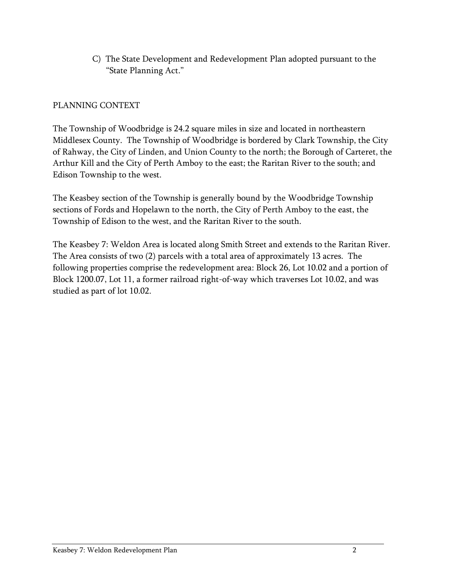C) The State Development and Redevelopment Plan adopted pursuant to the "State Planning Act."

#### PLANNING CONTEXT

The Township of Woodbridge is 24.2 square miles in size and located in northeastern Middlesex County. The Township of Woodbridge is bordered by Clark Township, the City of Rahway, the City of Linden, and Union County to the north; the Borough of Carteret, the Arthur Kill and the City of Perth Amboy to the east; the Raritan River to the south; and Edison Township to the west.

The Keasbey section of the Township is generally bound by the Woodbridge Township sections of Fords and Hopelawn to the north, the City of Perth Amboy to the east, the Township of Edison to the west, and the Raritan River to the south.

<span id="page-4-0"></span>The Keasbey 7: Weldon Area is located along Smith Street and extends to the Raritan River. The Area consists of two (2) parcels with a total area of approximately 13 acres. The following properties comprise the redevelopment area: Block 26, Lot 10.02 and a portion of Block 1200.07, Lot 11, a former railroad right-of-way which traverses Lot 10.02, and was studied as part of lot 10.02.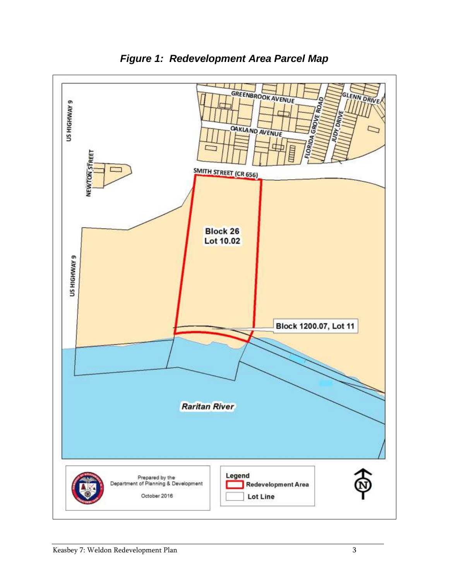

*Figure 1: Redevelopment Area Parcel Map*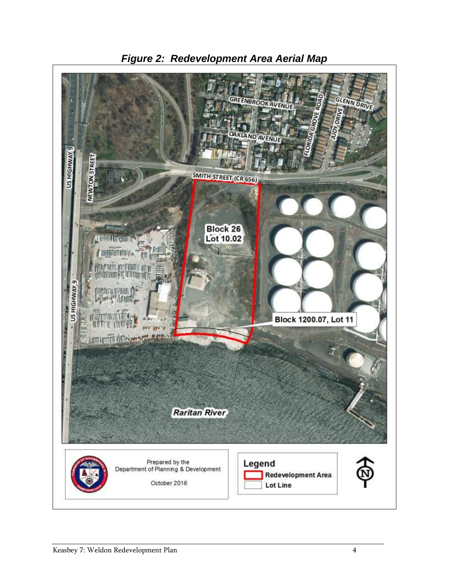<span id="page-6-0"></span>

*Figure 2: Redevelopment Area Aerial Map*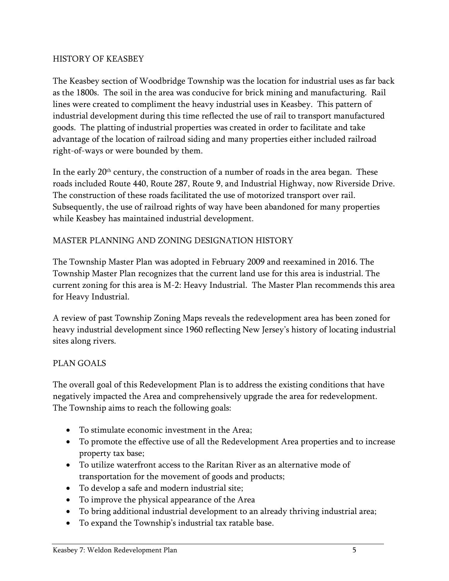#### HISTORY OF KEASBEY

The Keasbey section of Woodbridge Township was the location for industrial uses as far back as the 1800s. The soil in the area was conducive for brick mining and manufacturing. Rail lines were created to compliment the heavy industrial uses in Keasbey. This pattern of industrial development during this time reflected the use of rail to transport manufactured goods. The platting of industrial properties was created in order to facilitate and take advantage of the location of railroad siding and many properties either included railroad right-of-ways or were bounded by them.

In the early  $20<sup>th</sup>$  century, the construction of a number of roads in the area began. These roads included Route 440, Route 287, Route 9, and Industrial Highway, now Riverside Drive. The construction of these roads facilitated the use of motorized transport over rail. Subsequently, the use of railroad rights of way have been abandoned for many properties while Keasbey has maintained industrial development.

#### MASTER PLANNING AND ZONING DESIGNATION HISTORY

The Township Master Plan was adopted in February 2009 and reexamined in 2016. The Township Master Plan recognizes that the current land use for this area is industrial. The current zoning for this area is M-2: Heavy Industrial. The Master Plan recommends this area for Heavy Industrial.

A review of past Township Zoning Maps reveals the redevelopment area has been zoned for heavy industrial development since 1960 reflecting New Jersey's history of locating industrial sites along rivers.

#### PLAN GOALS

The overall goal of this Redevelopment Plan is to address the existing conditions that have negatively impacted the Area and comprehensively upgrade the area for redevelopment. The Township aims to reach the following goals:

- To stimulate economic investment in the Area;
- To promote the effective use of all the Redevelopment Area properties and to increase property tax base;
- To utilize waterfront access to the Raritan River as an alternative mode of transportation for the movement of goods and products;
- To develop a safe and modern industrial site;
- To improve the physical appearance of the Area
- To bring additional industrial development to an already thriving industrial area;
- To expand the Township's industrial tax ratable base.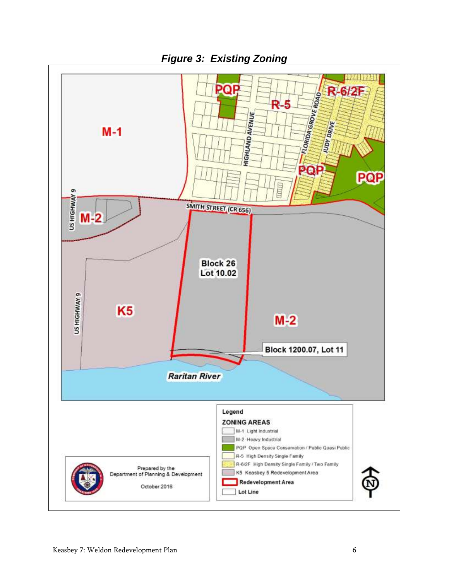<span id="page-8-0"></span>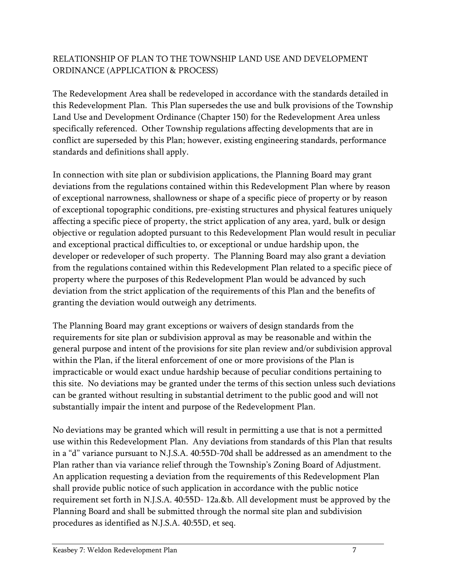# RELATIONSHIP OF PLAN TO THE TOWNSHIP LAND USE AND DEVELOPMENT ORDINANCE (APPLICATION & PROCESS)

The Redevelopment Area shall be redeveloped in accordance with the standards detailed in this Redevelopment Plan. This Plan supersedes the use and bulk provisions of the Township Land Use and Development Ordinance (Chapter 150) for the Redevelopment Area unless specifically referenced. Other Township regulations affecting developments that are in conflict are superseded by this Plan; however, existing engineering standards, performance standards and definitions shall apply.

In connection with site plan or subdivision applications, the Planning Board may grant deviations from the regulations contained within this Redevelopment Plan where by reason of exceptional narrowness, shallowness or shape of a specific piece of property or by reason of exceptional topographic conditions, pre-existing structures and physical features uniquely affecting a specific piece of property, the strict application of any area, yard, bulk or design objective or regulation adopted pursuant to this Redevelopment Plan would result in peculiar and exceptional practical difficulties to, or exceptional or undue hardship upon, the developer or redeveloper of such property. The Planning Board may also grant a deviation from the regulations contained within this Redevelopment Plan related to a specific piece of property where the purposes of this Redevelopment Plan would be advanced by such deviation from the strict application of the requirements of this Plan and the benefits of granting the deviation would outweigh any detriments.

The Planning Board may grant exceptions or waivers of design standards from the requirements for site plan or subdivision approval as may be reasonable and within the general purpose and intent of the provisions for site plan review and/or subdivision approval within the Plan, if the literal enforcement of one or more provisions of the Plan is impracticable or would exact undue hardship because of peculiar conditions pertaining to this site. No deviations may be granted under the terms of this section unless such deviations can be granted without resulting in substantial detriment to the public good and will not substantially impair the intent and purpose of the Redevelopment Plan.

No deviations may be granted which will result in permitting a use that is not a permitted use within this Redevelopment Plan. Any deviations from standards of this Plan that results in a "d" variance pursuant to N.J.S.A. 40:55D-70d shall be addressed as an amendment to the Plan rather than via variance relief through the Township's Zoning Board of Adjustment. An application requesting a deviation from the requirements of this Redevelopment Plan shall provide public notice of such application in accordance with the public notice requirement set forth in N.J.S.A. 40:55D- 12a.&b. All development must be approved by the Planning Board and shall be submitted through the normal site plan and subdivision procedures as identified as N.J.S.A. 40:55D, et seq.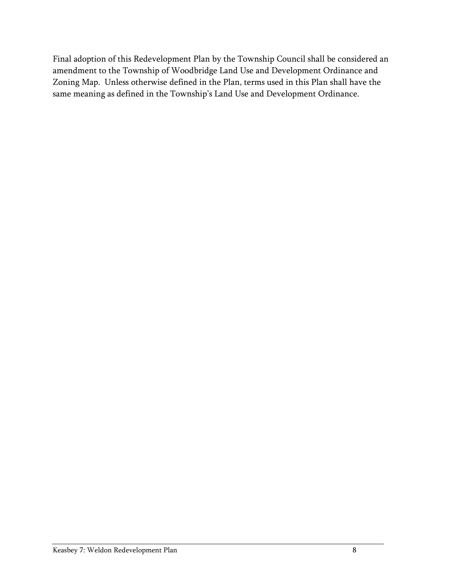Final adoption of this Redevelopment Plan by the Township Council shall be considered an amendment to the Township of Woodbridge Land Use and Development Ordinance and Zoning Map. Unless otherwise defined in the Plan, terms used in this Plan shall have the same meaning as defined in the Township's Land Use and Development Ordinance.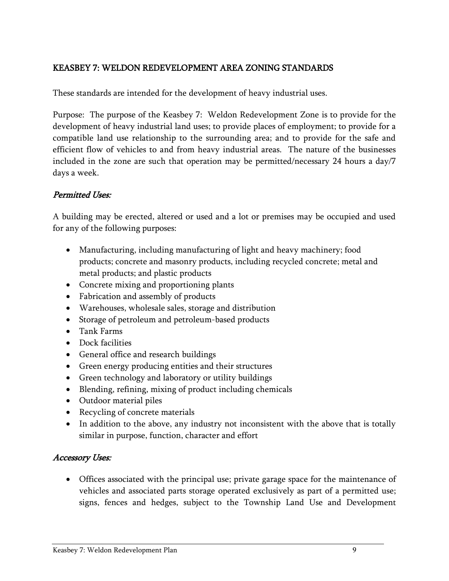# <span id="page-11-0"></span>KEASBEY 7: WELDON REDEVELOPMENT AREA ZONING STANDARDS

These standards are intended for the development of heavy industrial uses.

Purpose: The purpose of the Keasbey 7: Weldon Redevelopment Zone is to provide for the development of heavy industrial land uses; to provide places of employment; to provide for a compatible land use relationship to the surrounding area; and to provide for the safe and efficient flow of vehicles to and from heavy industrial areas. The nature of the businesses included in the zone are such that operation may be permitted/necessary 24 hours a day/7 days a week.

#### Permitted Uses:

A building may be erected, altered or used and a lot or premises may be occupied and used for any of the following purposes:

- Manufacturing, including manufacturing of light and heavy machinery; food products; concrete and masonry products, including recycled concrete; metal and metal products; and plastic products
- Concrete mixing and proportioning plants
- Fabrication and assembly of products
- Warehouses, wholesale sales, storage and distribution
- Storage of petroleum and petroleum-based products
- Tank Farms
- Dock facilities
- General office and research buildings
- Green energy producing entities and their structures
- Green technology and laboratory or utility buildings
- Blending, refining, mixing of product including chemicals
- Outdoor material piles
- Recycling of concrete materials
- In addition to the above, any industry not inconsistent with the above that is totally similar in purpose, function, character and effort

# Accessory Uses:

 Offices associated with the principal use; private garage space for the maintenance of vehicles and associated parts storage operated exclusively as part of a permitted use; signs, fences and hedges, subject to the Township Land Use and Development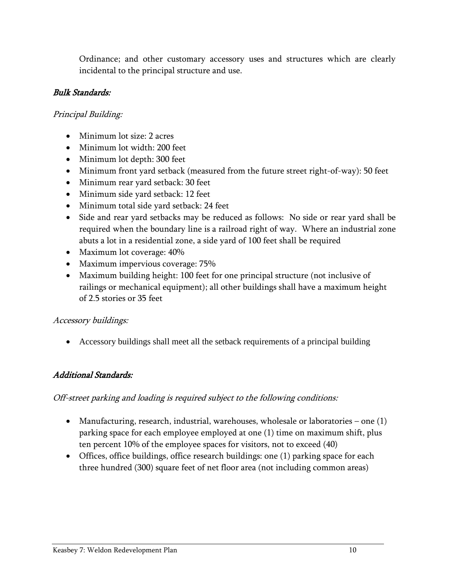Ordinance; and other customary accessory uses and structures which are clearly incidental to the principal structure and use.

#### Bulk Standards:

#### Principal Building:

- Minimum lot size: 2 acres
- Minimum lot width: 200 feet
- Minimum lot depth: 300 feet
- Minimum front yard setback (measured from the future street right-of-way): 50 feet
- Minimum rear yard setback: 30 feet
- Minimum side yard setback: 12 feet
- Minimum total side yard setback: 24 feet
- Side and rear yard setbacks may be reduced as follows: No side or rear yard shall be required when the boundary line is a railroad right of way. Where an industrial zone abuts a lot in a residential zone, a side yard of 100 feet shall be required
- Maximum lot coverage:  $40\%$
- Maximum impervious coverage: 75%
- Maximum building height: 100 feet for one principal structure (not inclusive of railings or mechanical equipment); all other buildings shall have a maximum height of 2.5 stories or 35 feet

#### Accessory buildings:

Accessory buildings shall meet all the setback requirements of a principal building

#### Additional Standards:

#### Off-street parking and loading is required subject to the following conditions:

- Manufacturing, research, industrial, warehouses, wholesale or laboratories one (1) parking space for each employee employed at one (1) time on maximum shift, plus ten percent 10% of the employee spaces for visitors, not to exceed (40)
- Offices, office buildings, office research buildings: one (1) parking space for each three hundred (300) square feet of net floor area (not including common areas)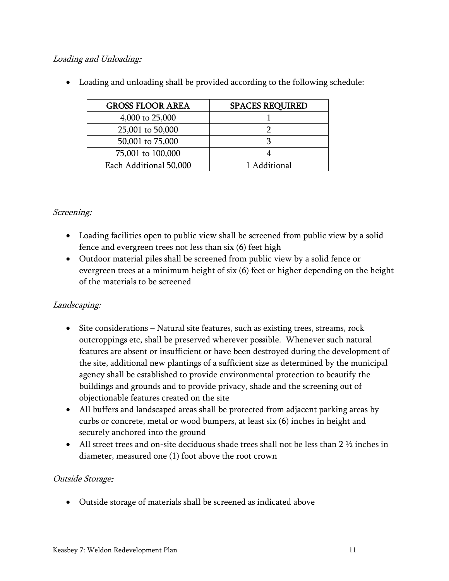# Loading and Unloading:

| <b>GROSS FLOOR AREA</b> | <b>SPACES REQUIRED</b> |
|-------------------------|------------------------|
| 4,000 to 25,000         |                        |
| 25,001 to 50,000        |                        |
| 50,001 to 75,000        |                        |
| 75,001 to 100,000       |                        |
| Each Additional 50,000  | 1 Additional           |

Loading and unloading shall be provided according to the following schedule:

# Screening:

- Loading facilities open to public view shall be screened from public view by a solid fence and evergreen trees not less than six (6) feet high
- Outdoor material piles shall be screened from public view by a solid fence or evergreen trees at a minimum height of six (6) feet or higher depending on the height of the materials to be screened

# Landscaping:

- Site considerations Natural site features, such as existing trees, streams, rock outcroppings etc, shall be preserved wherever possible. Whenever such natural features are absent or insufficient or have been destroyed during the development of the site, additional new plantings of a sufficient size as determined by the municipal agency shall be established to provide environmental protection to beautify the buildings and grounds and to provide privacy, shade and the screening out of objectionable features created on the site
- All buffers and landscaped areas shall be protected from adjacent parking areas by curbs or concrete, metal or wood bumpers, at least six (6) inches in height and securely anchored into the ground
- All street trees and on-site deciduous shade trees shall not be less than  $2\frac{1}{2}$  inches in diameter, measured one (1) foot above the root crown

# Outside Storage:

Outside storage of materials shall be screened as indicated above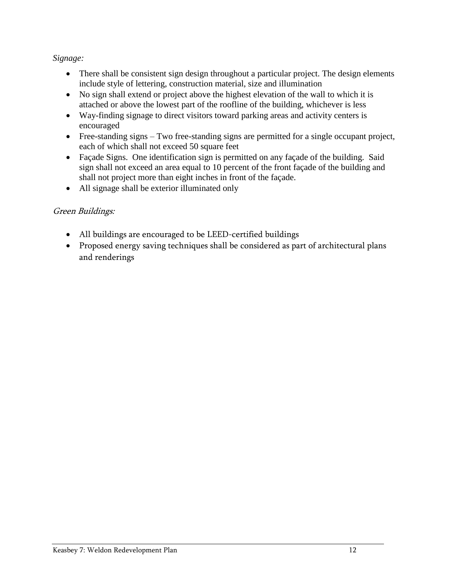#### <span id="page-14-0"></span>*Signage:*

- There shall be consistent sign design throughout a particular project. The design elements include style of lettering, construction material, size and illumination
- No sign shall extend or project above the highest elevation of the wall to which it is attached or above the lowest part of the roofline of the building, whichever is less
- Way-finding signage to direct visitors toward parking areas and activity centers is encouraged
- Free-standing signs Two free-standing signs are permitted for a single occupant project, each of which shall not exceed 50 square feet
- Façade Signs. One identification sign is permitted on any façade of the building. Said sign shall not exceed an area equal to 10 percent of the front façade of the building and shall not project more than eight inches in front of the façade.
- All signage shall be exterior illuminated only

# Green Buildings:

- All buildings are encouraged to be LEED-certified buildings
- Proposed energy saving techniques shall be considered as part of architectural plans and renderings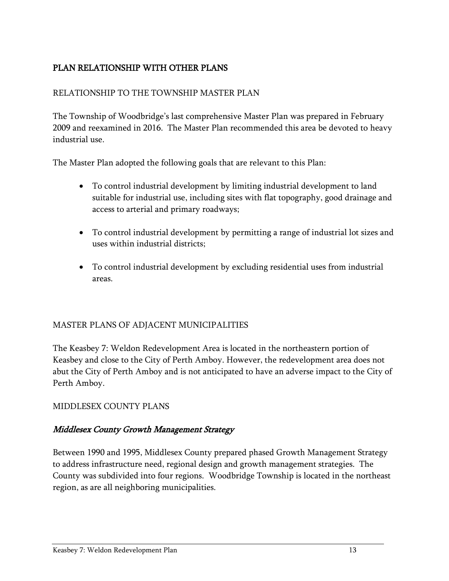# PLAN RELATIONSHIP WITH OTHER PLANS

#### RELATIONSHIP TO THE TOWNSHIP MASTER PLAN

The Township of Woodbridge's last comprehensive Master Plan was prepared in February 2009 and reexamined in 2016. The Master Plan recommended this area be devoted to heavy industrial use.

The Master Plan adopted the following goals that are relevant to this Plan:

- To control industrial development by limiting industrial development to land suitable for industrial use, including sites with flat topography, good drainage and access to arterial and primary roadways;
- To control industrial development by permitting a range of industrial lot sizes and uses within industrial districts;
- To control industrial development by excluding residential uses from industrial areas.

#### MASTER PLANS OF ADJACENT MUNICIPALITIES

The Keasbey 7: Weldon Redevelopment Area is located in the northeastern portion of Keasbey and close to the City of Perth Amboy. However, the redevelopment area does not abut the City of Perth Amboy and is not anticipated to have an adverse impact to the City of Perth Amboy.

#### MIDDLESEX COUNTY PLANS

#### Middlesex County Growth Management Strategy

Between 1990 and 1995, Middlesex County prepared phased Growth Management Strategy to address infrastructure need, regional design and growth management strategies. The County was subdivided into four regions. Woodbridge Township is located in the northeast region, as are all neighboring municipalities.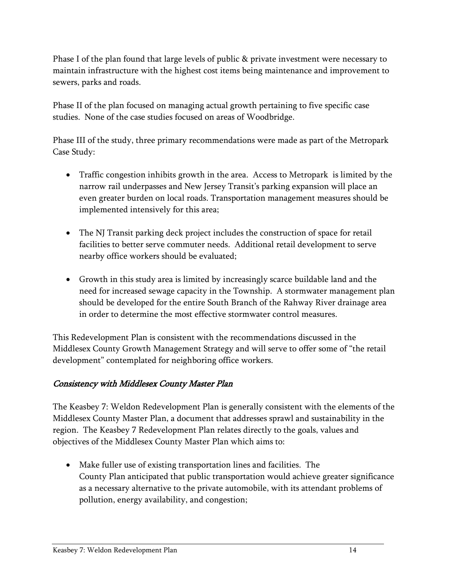Phase I of the plan found that large levels of public & private investment were necessary to maintain infrastructure with the highest cost items being maintenance and improvement to sewers, parks and roads.

Phase II of the plan focused on managing actual growth pertaining to five specific case studies. None of the case studies focused on areas of Woodbridge.

Phase III of the study, three primary recommendations were made as part of the Metropark Case Study:

- Traffic congestion inhibits growth in the area. Access to Metropark is limited by the narrow rail underpasses and New Jersey Transit's parking expansion will place an even greater burden on local roads. Transportation management measures should be implemented intensively for this area;
- The NJ Transit parking deck project includes the construction of space for retail facilities to better serve commuter needs. Additional retail development to serve nearby office workers should be evaluated;
- Growth in this study area is limited by increasingly scarce buildable land and the need for increased sewage capacity in the Township. A stormwater management plan should be developed for the entire South Branch of the Rahway River drainage area in order to determine the most effective stormwater control measures.

This Redevelopment Plan is consistent with the recommendations discussed in the Middlesex County Growth Management Strategy and will serve to offer some of "the retail development" contemplated for neighboring office workers.

# Consistency with Middlesex County Master Plan

The Keasbey 7: Weldon Redevelopment Plan is generally consistent with the elements of the Middlesex County Master Plan, a document that addresses sprawl and sustainability in the region. The Keasbey 7 Redevelopment Plan relates directly to the goals, values and objectives of the Middlesex County Master Plan which aims to:

 Make fuller use of existing transportation lines and facilities. The County Plan anticipated that public transportation would achieve greater significance as a necessary alternative to the private automobile, with its attendant problems of pollution, energy availability, and congestion;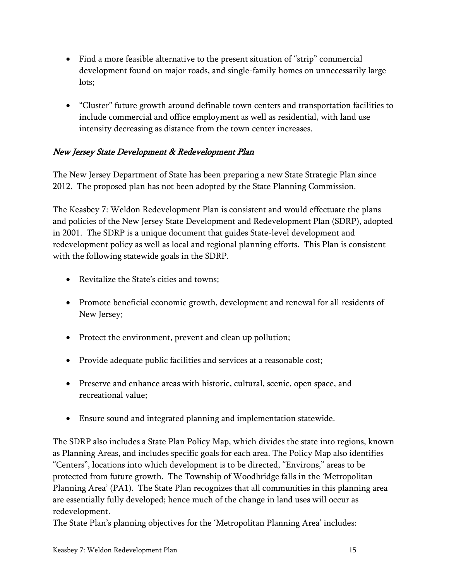- Find a more feasible alternative to the present situation of "strip" commercial development found on major roads, and single-family homes on unnecessarily large lots;
- "Cluster" future growth around definable town centers and transportation facilities to include commercial and office employment as well as residential, with land use intensity decreasing as distance from the town center increases.

# New Jersey State Development & Redevelopment Plan

The New Jersey Department of State has been preparing a new State Strategic Plan since 2012. The proposed plan has not been adopted by the State Planning Commission.

The Keasbey 7: Weldon Redevelopment Plan is consistent and would effectuate the plans and policies of the New Jersey State Development and Redevelopment Plan (SDRP), adopted in 2001. The SDRP is a unique document that guides State-level development and redevelopment policy as well as local and regional planning efforts. This Plan is consistent with the following statewide goals in the SDRP.

- Revitalize the State's cities and towns;
- Promote beneficial economic growth, development and renewal for all residents of New Jersey;
- Protect the environment, prevent and clean up pollution;
- Provide adequate public facilities and services at a reasonable cost;
- Preserve and enhance areas with historic, cultural, scenic, open space, and recreational value;
- Ensure sound and integrated planning and implementation statewide.

The SDRP also includes a State Plan Policy Map, which divides the state into regions, known as Planning Areas, and includes specific goals for each area. The Policy Map also identifies "Centers", locations into which development is to be directed, "Environs," areas to be protected from future growth. The Township of Woodbridge falls in the 'Metropolitan Planning Area' (PA1). The State Plan recognizes that all communities in this planning area are essentially fully developed; hence much of the change in land uses will occur as redevelopment.

The State Plan's planning objectives for the 'Metropolitan Planning Area' includes: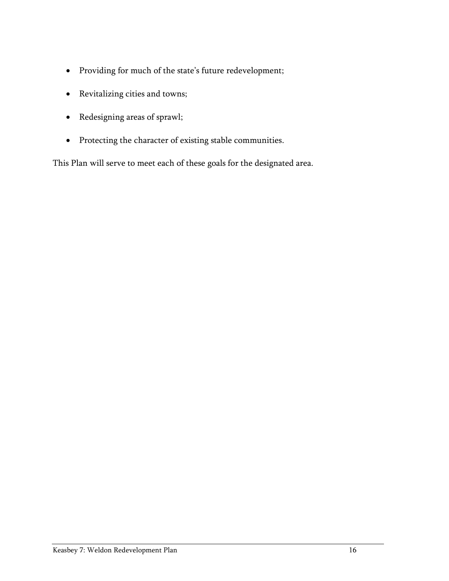- Providing for much of the state's future redevelopment;
- Revitalizing cities and towns;
- Redesigning areas of sprawl;
- Protecting the character of existing stable communities.

This Plan will serve to meet each of these goals for the designated area.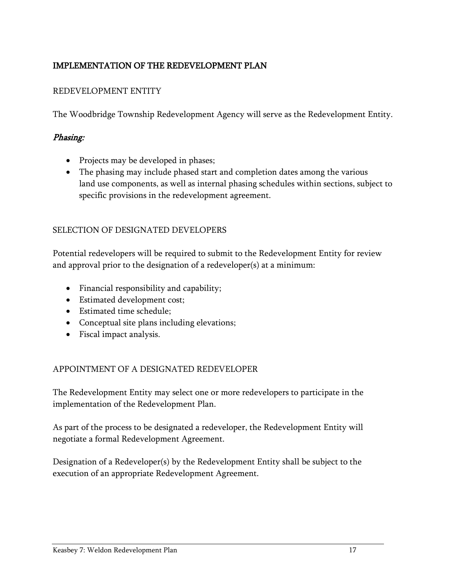# <span id="page-19-0"></span>IMPLEMENTATION OF THE REDEVELOPMENT PLAN

#### REDEVELOPMENT ENTITY

The Woodbridge Township Redevelopment Agency will serve as the Redevelopment Entity.

#### Phasing:

- Projects may be developed in phases;
- The phasing may include phased start and completion dates among the various land use components, as well as internal phasing schedules within sections, subject to specific provisions in the redevelopment agreement.

#### SELECTION OF DESIGNATED DEVELOPERS

Potential redevelopers will be required to submit to the Redevelopment Entity for review and approval prior to the designation of a redeveloper(s) at a minimum:

- Financial responsibility and capability;
- Estimated development cost;
- Estimated time schedule;
- Conceptual site plans including elevations;
- Fiscal impact analysis.

#### APPOINTMENT OF A DESIGNATED REDEVELOPER

The Redevelopment Entity may select one or more redevelopers to participate in the implementation of the Redevelopment Plan.

As part of the process to be designated a redeveloper, the Redevelopment Entity will negotiate a formal Redevelopment Agreement.

Designation of a Redeveloper(s) by the Redevelopment Entity shall be subject to the execution of an appropriate Redevelopment Agreement.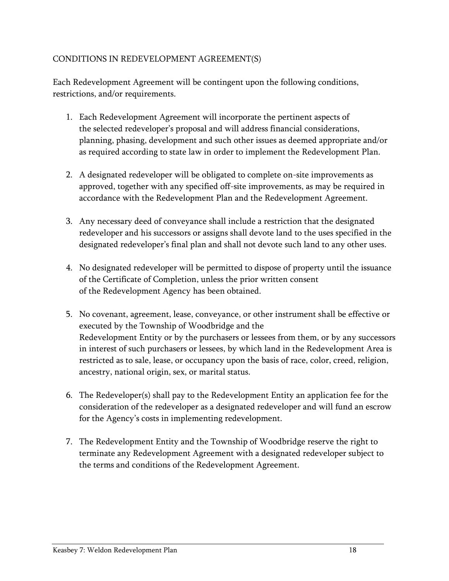#### CONDITIONS IN REDEVELOPMENT AGREEMENT(S)

Each Redevelopment Agreement will be contingent upon the following conditions, restrictions, and/or requirements.

- 1. Each Redevelopment Agreement will incorporate the pertinent aspects of the selected redeveloper's proposal and will address financial considerations, planning, phasing, development and such other issues as deemed appropriate and/or as required according to state law in order to implement the Redevelopment Plan.
- 2. A designated redeveloper will be obligated to complete on-site improvements as approved, together with any specified off-site improvements, as may be required in accordance with the Redevelopment Plan and the Redevelopment Agreement.
- 3. Any necessary deed of conveyance shall include a restriction that the designated redeveloper and his successors or assigns shall devote land to the uses specified in the designated redeveloper's final plan and shall not devote such land to any other uses.
- 4. No designated redeveloper will be permitted to dispose of property until the issuance of the Certificate of Completion, unless the prior written consent of the Redevelopment Agency has been obtained.
- 5. No covenant, agreement, lease, conveyance, or other instrument shall be effective or executed by the Township of Woodbridge and the Redevelopment Entity or by the purchasers or lessees from them, or by any successors in interest of such purchasers or lessees, by which land in the Redevelopment Area is restricted as to sale, lease, or occupancy upon the basis of race, color, creed, religion, ancestry, national origin, sex, or marital status.
- 6. The Redeveloper(s) shall pay to the Redevelopment Entity an application fee for the consideration of the redeveloper as a designated redeveloper and will fund an escrow for the Agency's costs in implementing redevelopment.
- 7. The Redevelopment Entity and the Township of Woodbridge reserve the right to terminate any Redevelopment Agreement with a designated redeveloper subject to the terms and conditions of the Redevelopment Agreement.